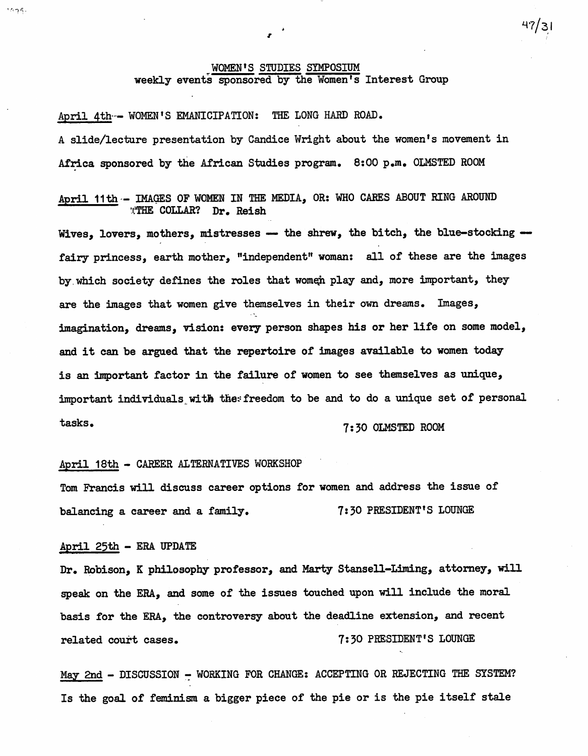## WOMEN'S STUDIES SIMPOSIUM weekly events sponsored by the Women's Interest Group

 $47/31$ 

April 4th -- WOMEN'S EMANICIPATION: THE LONG HARD ROAD. A slide/lecture presentation by Candice Wright about the women's movement in Africa sponsored by the African Studies program. 8:00 p.m. OLMSTED ROOM

April 11th - IMAGES OF WOMEN IN THE MEDIA, OR: WHO CARES ABOUT RING AROUND WTHE COLLAR? Dr. Reish **THE COLLAR?** 

Wives, lovers, mothers, mistresses  $-$  the shrew, the bitch, the blue-stocking  $$ fairy princess, earth mother, "independent" woman: all of these are the images by which society defines the roles that women play and, more important, they are the images that women give themselves in their own dreams. Images, imagination, dreams, vision: every person shapes his or her life on some model, and it can be argued that the repertoire of images available to women today is an important factor in the failure of women to see themselves as unique, important individuals with the: freedom to be and to do a unique set of personal tasks. 7:30 OLMSTED ROOM

#### April 18th - CAREER ALTERNATIVES WORKSHOP

Tom Francis will discuss career options for women and address the issue of balancing a career and a family. 7:30 PRESIDENT'S LOUNGE

### April 25th - ERA UPDATE

 $1475.$ 

Dr. Robison, K philosophy professor, and Marty Stansell-Liming, attorney, will speak on the ERA, and some of the issues touched upon will include the moral basis for the ERA, the controversy about the deadline extension, and recent related court cases. The mass of the court cases.

May 2nd - DISCUSSION - WORKING FOR CHANGE: ACCEPTING OR REJECTING THE SYSTEM? Is the goal of feminism a bigger piece of the pie or is the pie itself stale